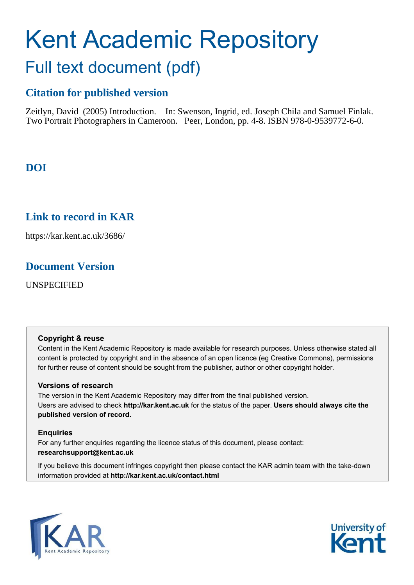# Kent Academic Repository Full text document (pdf)

## **Citation for published version**

Zeitlyn, David (2005) Introduction. In: Swenson, Ingrid, ed. Joseph Chila and Samuel Finlak. Two Portrait Photographers in Cameroon. Peer, London, pp. 4-8. ISBN 978-0-9539772-6-0.

# **DOI**

## **Link to record in KAR**

https://kar.kent.ac.uk/3686/

## **Document Version**

UNSPECIFIED

#### **Copyright & reuse**

Content in the Kent Academic Repository is made available for research purposes. Unless otherwise stated all content is protected by copyright and in the absence of an open licence (eg Creative Commons), permissions for further reuse of content should be sought from the publisher, author or other copyright holder.

### **Versions of research**

The version in the Kent Academic Repository may differ from the final published version. Users are advised to check **http://kar.kent.ac.uk** for the status of the paper. **Users should always cite the published version of record.**

### **Enquiries**

For any further enquiries regarding the licence status of this document, please contact: **researchsupport@kent.ac.uk**

If you believe this document infringes copyright then please contact the KAR admin team with the take-down information provided at **http://kar.kent.ac.uk/contact.html**



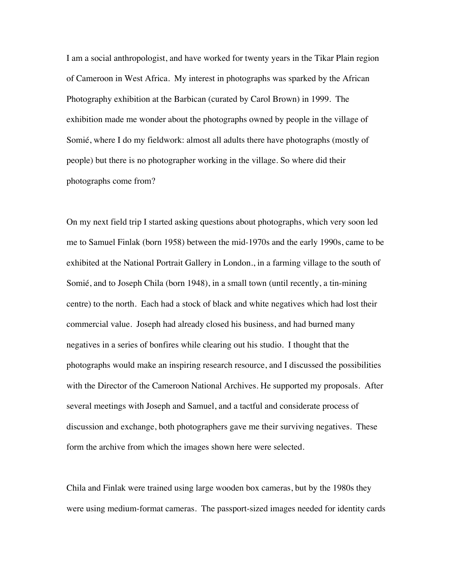I am a social anthropologist, and have worked for twenty years in the Tikar Plain region of Cameroon in West Africa. My interest in photographs was sparked by the African Photography exhibition at the Barbican (curated by Carol Brown) in 1999. The exhibition made me wonder about the photographs owned by people in the village of Somié, where I do my fieldwork: almost all adults there have photographs (mostly of people) but there is no photographer working in the village. So where did their photographs come from?

On my next field trip I started asking questions about photographs, which very soon led me to Samuel Finlak (born 1958) between the mid-1970s and the early 1990s, came to be exhibited at the National Portrait Gallery in London., in a farming village to the south of Somié, and to Joseph Chila (born 1948), in a small town (until recently, a tin-mining centre) to the north. Each had a stock of black and white negatives which had lost their commercial value. Joseph had already closed his business, and had burned many negatives in a series of bonfires while clearing out his studio. I thought that the photographs would make an inspiring research resource, and I discussed the possibilities with the Director of the Cameroon National Archives. He supported my proposals. After several meetings with Joseph and Samuel, and a tactful and considerate process of discussion and exchange, both photographers gave me their surviving negatives. These form the archive from which the images shown here were selected.

Chila and Finlak were trained using large wooden box cameras, but by the 1980s they were using medium-format cameras. The passport-sized images needed for identity cards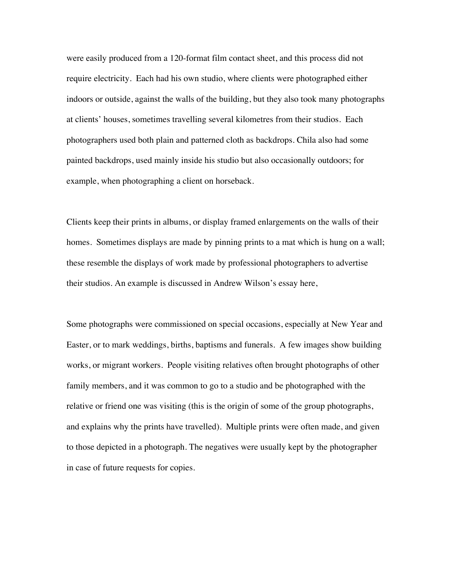were easily produced from a 120-format film contact sheet, and this process did not require electricity. Each had his own studio, where clients were photographed either indoors or outside, against the walls of the building, but they also took many photographs at clients' houses, sometimes travelling several kilometres from their studios. Each photographers used both plain and patterned cloth as backdrops. Chila also had some painted backdrops, used mainly inside his studio but also occasionally outdoors; for example, when photographing a client on horseback.

Clients keep their prints in albums, or display framed enlargements on the walls of their homes. Sometimes displays are made by pinning prints to a mat which is hung on a wall; these resemble the displays of work made by professional photographers to advertise their studios. An example is discussed in Andrew Wilson's essay here,

Some photographs were commissioned on special occasions, especially at New Year and Easter, or to mark weddings, births, baptisms and funerals. A few images show building works, or migrant workers. People visiting relatives often brought photographs of other family members, and it was common to go to a studio and be photographed with the relative or friend one was visiting (this is the origin of some of the group photographs, and explains why the prints have travelled). Multiple prints were often made, and given to those depicted in a photograph. The negatives were usually kept by the photographer in case of future requests for copies.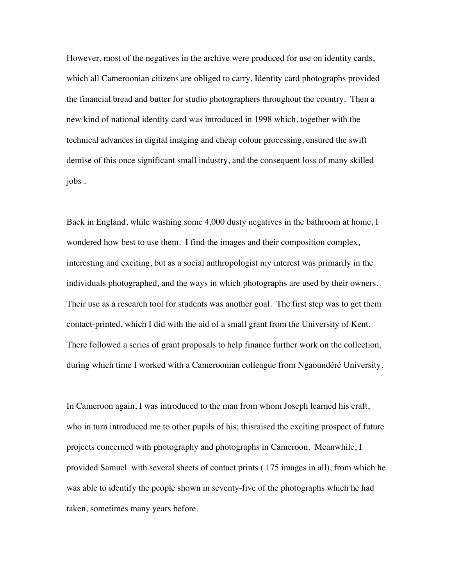However, most of the negatives in the archive were produced for use on identity cards, which all Cameroonian citizens are obliged to carry. Identity card photographs provided the financial bread and butter for studio photographers throughout the country. Then a new kind of national identity card was introduced in 1998 which, together with the technical advances in digital imaging and cheap colour processing, ensured the swift demise of this once significant small industry, and the consequent loss of many skilled jobs .

Back in England, while washing some 4,000 dusty negatives in the bathroom at home, I wondered how best to use them. I find the images and their composition complex, interesting and exciting, but as a social anthropologist my interest was primarily in the individuals photographed, and the ways in which photographs are used by their owners. Their use as a research tool for students was another goal. The first step was to get them contact-printed, which I did with the aid of a small grant from the University of Kent. There followed a series of grant proposals to help finance further work on the collection, during which time I worked with a Cameroonian colleague from Ngaoundéré University.

In Cameroon again, I was introduced to the man from whom Joseph learned his craft, who in turn introduced me to other pupils of his; thisraised the exciting prospect of future projects concerned with photography and photographs in Cameroon. Meanwhile, I provided Samuel with several sheets of contact prints ( 175 images in all), from which he was able to identify the people shown in seventy-five of the photographs which he had taken, sometimes many years before.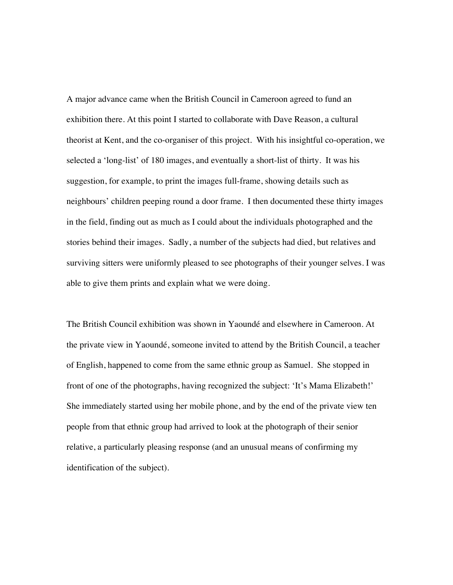A major advance came when the British Council in Cameroon agreed to fund an exhibition there. At this point I started to collaborate with Dave Reason, a cultural theorist at Kent, and the co-organiser of this project. With his insightful co-operation, we selected a 'long-list' of 180 images, and eventually a short-list of thirty. It was his suggestion, for example, to print the images full-frame, showing details such as neighbours' children peeping round a door frame. I then documented these thirty images in the field, finding out as much as I could about the individuals photographed and the stories behind their images. Sadly, a number of the subjects had died, but relatives and surviving sitters were uniformly pleased to see photographs of their younger selves. I was able to give them prints and explain what we were doing.

The British Council exhibition was shown in Yaoundé and elsewhere in Cameroon. At the private view in Yaoundé, someone invited to attend by the British Council, a teacher of English, happened to come from the same ethnic group as Samuel. She stopped in front of one of the photographs, having recognized the subject: 'It's Mama Elizabeth!' She immediately started using her mobile phone, and by the end of the private view ten people from that ethnic group had arrived to look at the photograph of their senior relative, a particularly pleasing response (and an unusual means of confirming my identification of the subject).